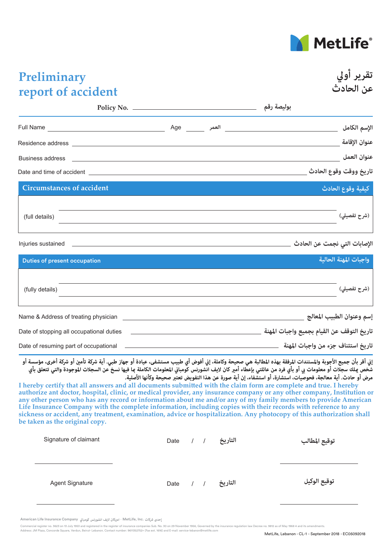

**تقرير أولي**

**عن الحادث**

## **Preliminary report of accident**

|                                                                                                                                                                                                                                      |                 | بوليصة رقم                       |  |
|--------------------------------------------------------------------------------------------------------------------------------------------------------------------------------------------------------------------------------------|-----------------|----------------------------------|--|
| Full Name                                                                                                                                                                                                                            | العمر Age العمر | الإسم الكامل                     |  |
|                                                                                                                                                                                                                                      |                 | عنوان الإقامة                    |  |
| Business address                                                                                                                                                                                                                     |                 | عنوان العمل                      |  |
| Date and time of accident <u>example and the set of a set of a set of a set of a set of a set of a set of a set of a set of a set of a set of a set of a set of a set of a set of a set of a set of a set of a set of a set of a</u> |                 | ِ<br>تاريخ ووقت وقوع الحادث      |  |
| <b>Circumstances of accident</b>                                                                                                                                                                                                     |                 | ا <mark>كيفية وقوع الحادث</mark> |  |
| (full details)                                                                                                                                                                                                                       |                 | (شرح تفصيلي)                     |  |
| Injuries sustained                                                                                                                                                                                                                   |                 | الإصابات التي نجمت عن الحادث     |  |
| <b>Duties of present occupation</b>                                                                                                                                                                                                  |                 | واجبات المهنة الحالية            |  |

| (fully details)                          | (شرح تفصيلي)                               |
|------------------------------------------|--------------------------------------------|
| Name & Address of treating physician     | إسم وعنوان الطبيب المعالج                  |
| Date of stopping all occupational duties | تاريخ التوقف عن القيام بجميع واجبات المهنة |
| Date of resuming part of occupational    | تاريخ استئناف جزء من واجبات المهنة         |

إني أقر بأن جميع الأجوبة والمستندات المرفقة بهذه المطالبة هي صحيحة وكاملة، إني أفوض أي طبيب مستشفى، عيادة أو جهاز طبي. أية شركة تأمين أو شركة أخرى، مؤسسة أو شخص علك سجلات أو معلومات بي أو بأي فرد من عائلتي بإعطاء أمير كان لايف انشورنس كومباني المعلومات الكاملة عا فيها نسخ عن السجلات الموجودة والتي تتعلق بأي **مرض أو حادث. أية معالجة، فحوصيات، استشارة، أو استشفاء، إن أية صورة عن هذا التفويض تعتبر صحيحة وكأنها الأصلية.**

**I hereby certify that all answers and all documents submitted with the claim form are complete and true. I hereby authorize ant doctor, hospital, clinic, or medical provider, any insurance company or any other company, Institution or any other person who has any record or information about me and/or any of my family members to provide American Life Insurance Company with the complete information, including copies with their records with reference to any sickness or accident, any treatment, examination, advice or hospitalization. Any photocopy of this authorization shall be taken as the original copy.**

| Signature of claimant  | Date / / |  | التاريخ          | توقيع المطالب |
|------------------------|----------|--|------------------|---------------|
| <b>Agent Signature</b> |          |  | التاريخ / / Date | توقيع الوكيل  |

إحدى شركات .MetLife, Inc - اميركان لايف انشورنس كومبانى American Life Insurance Company

rcial register no. 3623 on 13 July 1953 and registered in the register of insurance companies Sub. No. 30 on 29 November 1956, Governed by the insurance regulation law Decree no. 9812 as of May 1968 4 and its amendment

Address: JM Plaza, Concorde Square, Verdun, Beirut- Lebanon. Contact number: 9611352752+ (Fax ext. 1616) and E-mail: service-lebanon@metlife.com